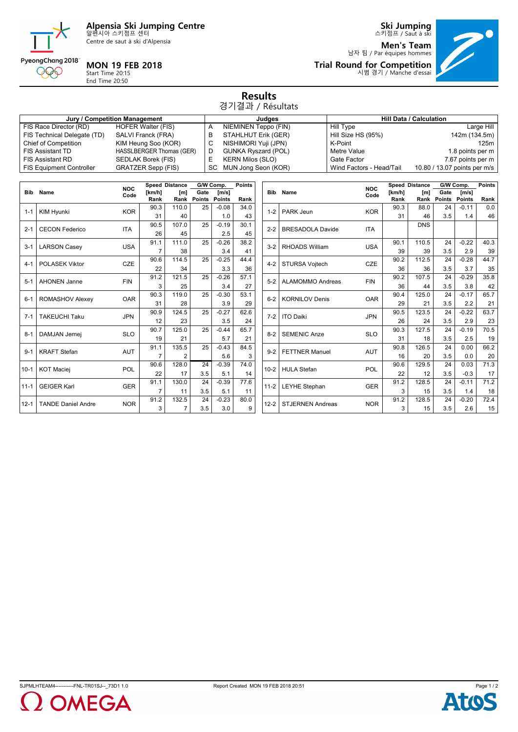

Centre de saut à ski d'Alpensia



**Men's Team** 남자 팀 / Par équipes hommes **Trial Round for Competition** 시범 경기 / Manche d'essai



PyeongChang 2018 **MON 19 FEB 2018**

Start Time 20:15 End Time 20:50

000

## **Results** 경기결과 / Résultats

|                                 | Jury / Competition Management | Judaes                     | <b>Hill Data / Calculation</b> |                              |  |  |
|---------------------------------|-------------------------------|----------------------------|--------------------------------|------------------------------|--|--|
| FIS Race Director (RD)          | <b>HOFER Walter (FIS)</b>     | NIEMINEN Teppo (FIN)       | Hill Type                      | Large Hill                   |  |  |
| FIS Technical Delegate (TD)     | SALVI Franck (FRA)            | STAHLHUT Erik (GER)        | Hill Size HS (95%)             | 142m (134.5m)                |  |  |
| Chief of Competition            | KIM Heung Soo (KOR)           | NISHIMORI Yuji (JPN)       | K-Point                        | 125m                         |  |  |
| <b>FIS Assistant TD</b>         | HASSLBERGER Thomas (GER)      | <b>GUNKA Ryszard (POL)</b> | Metre Value                    | 1.8 points per m             |  |  |
| <b>FIS Assistant RD</b>         | SEDLAK Borek (FIS)            | <b>KERN Milos (SLO)</b>    | Gate Factor                    | 7.67 points per m            |  |  |
| <b>FIS Equipment Controller</b> | <b>GRATZER Sepp (FIS)</b>     | SC MUN Jong Seon (KOR)     | Wind Factors - Head/Tail       | 10.80 / 13.07 points per m/s |  |  |

|            |                           | <b>NOC</b> |        | Speed Distance |             | G/W Comp.       | <b>Points</b> |  |
|------------|---------------------------|------------|--------|----------------|-------------|-----------------|---------------|--|
| <b>Bib</b> | Name                      | Code       | [km/h] | $\mathsf{[m]}$ | Gate        | $\mathsf{Im/s}$ |               |  |
|            |                           |            | Rank   |                | Rank Points | Points          | Rank          |  |
| $1 - 1$    | <b>KIM Hyunki</b>         | <b>KOR</b> | 90.3   | 110.0          | 25          | $-0.08$         | 34.0          |  |
|            |                           |            | 31     | 40             |             | 1.0             | 43            |  |
| $2 - 1$    | <b>CECON Federico</b>     | <b>ITA</b> | 90.5   | 107.0          | 25          | $-0.19$         | 30.1          |  |
|            |                           |            | 26     | 45             |             | 2.5             | 45            |  |
| $3 - 1$    | <b>LARSON Casey</b>       | <b>USA</b> | 91.1   | 111.0          | 25          | $-0.26$         | 38.2          |  |
|            |                           |            | 7      | 38             |             | 3.4             | 41            |  |
| $4 - 1$    | POLASEK Viktor            | <b>CZE</b> | 90.6   | 114.5          | 25          | $-0.25$         | 44.4          |  |
|            |                           |            | 22     | 34             |             | 3.3             | 36            |  |
| $5 - 1$    | <b>AHONEN Janne</b>       | <b>FIN</b> | 91.2   | 121.5          | 25          | $-0.26$         | 57.1          |  |
|            |                           |            | 3      | 25             |             | 3.4             | 27            |  |
| $6 - 1$    |                           |            | 90.3   | 119.0          | 25          | $-0.30$         | 53.1          |  |
|            | ROMASHOV Alexey           | <b>OAR</b> | 31     | 28             |             | 3.9             | 29            |  |
| $7 - 1$    | <b>TAKEUCHI Taku</b>      | <b>JPN</b> | 90.9   | 124.5          | 25          | $-0.27$         | 62.6          |  |
|            |                           |            | 12     | 23             |             | 3.5             | 24            |  |
| $8 - 1$    | DAMJAN Jernej             | <b>SLO</b> | 90.7   | 125.0          | 25          | $-0.44$         | 65.7          |  |
|            |                           |            | 19     | 21             |             | 5.7             | 21            |  |
| $9 - 1$    | <b>KRAFT Stefan</b>       | <b>AUT</b> | 91.1   | 135.5          | 25          | $-0.43$         | 84.5          |  |
|            |                           |            | 7      | $\overline{2}$ |             | 5.6             | 3             |  |
|            |                           |            | 90.6   | 128.0          | 24          | $-0.39$         | 74.0          |  |
| $10-1$     | <b>KOT Maciej</b>         | <b>POL</b> | 22     | 17             | 3.5         | 5.1             | 14            |  |
| $11 - 1$   |                           |            | 91.1   | 130.0          | 24          | $-0.39$         | 77.6          |  |
|            | <b>GEIGER Karl</b>        | <b>GER</b> | 7      | 11             | 3.5         | 5.1             | 11            |  |
|            |                           |            | 91.2   | 132.5          | 24          | $-0.23$         | 80.0          |  |
| $12 - 1$   | <b>TANDE Daniel Andre</b> | <b>NOR</b> | 3      | $\overline{7}$ | 3.5         | 3.0             | 9             |  |

|            |                         | <b>NOC</b> |        | <b>Speed Distance</b> |               | G/W Comp.     | <b>Points</b> |
|------------|-------------------------|------------|--------|-----------------------|---------------|---------------|---------------|
| <b>Bib</b> | Name                    | Code       | [km/h] | [m]                   | Gate          | [m/s]         |               |
|            |                         |            | Rank   | Rank                  | <b>Points</b> | <b>Points</b> | Rank          |
| $1 - 2$    | <b>PARK Jeun</b>        | <b>KOR</b> | 90.3   | 88.0                  | 24            | $-0.11$       | 0.0           |
|            |                         |            | 31     | 46                    | 3.5           | 1.4           | 46            |
| $2 - 2$    | <b>BRESADOLA Davide</b> | ITA        |        | <b>DNS</b>            |               |               |               |
|            |                         |            | 90.1   | 110.5                 | 24            | $-0.22$       | 40.3          |
| $3 - 2$    | <b>RHOADS William</b>   | <b>USA</b> | 39     | 39                    | 3.5           | 2.9           | 39            |
| $4 - 2$    |                         |            | 90.2   | 112.5                 | 24            | $-0.28$       | 44.7          |
|            | STURSA Vojtech          | <b>CZE</b> | 36     | 36                    | 3.5           | 3.7           | 35            |
| $5 - 2$    |                         |            | 90.2   | 107.5                 | 24            | $-0.29$       | 35.8          |
|            | <b>ALAMOMMO Andreas</b> | <b>FIN</b> | 36     | 44                    | 3.5           | 3.8           | 42            |
| $6 - 2$    |                         |            | 90.4   | 125.0                 | 24            | $-0.17$       | 65.7          |
|            | <b>KORNILOV Denis</b>   | <b>OAR</b> | 29     | 21                    | 3.5           | 2.2           | 21            |
| $7 - 2$    | <b>ITO Daiki</b>        | <b>JPN</b> | 90.5   | 123.5                 | 24            | $-0.22$       | 63.7          |
|            |                         |            | 26     | 24                    | 3.5           | 2.9           | 23            |
| $8 - 2$    | <b>SEMENIC Anze</b>     | <b>SLO</b> | 90.3   | 127.5                 | 24            | $-0.19$       | 70.5          |
|            |                         |            | 31     | 18                    | 3.5           | 2.5           | 19            |
| $9 - 2$    | <b>FETTNER Manuel</b>   |            | 90.8   | 126.5                 | 24            | 0.00          | 66.2          |
|            |                         | <b>AUT</b> | 16     | 20                    | 3.5           | 0.0           | 20            |
|            |                         |            | 90.6   | 129.5                 | 24            | 0.03          | 71.3          |
| $10 - 2$   | <b>HULA Stefan</b>      | <b>POL</b> | 22     | 12                    | 3.5           | $-0.3$        | 17            |
|            |                         |            | 91.2   | 128.5                 | 24            | $-0.11$       | 71.2          |
| $11 - 2$   | <b>LEYHE Stephan</b>    | <b>GER</b> | 3      | 15                    | 3.5           | 1.4           | 18            |
|            |                         |            | 91.2   | 128.5                 | 24            | $-0.20$       | 72.4          |
| $12 - 2$   | <b>STJERNEN Andreas</b> | <b>NOR</b> | 3      | 15                    | 3.5           | 2.6           | 15            |